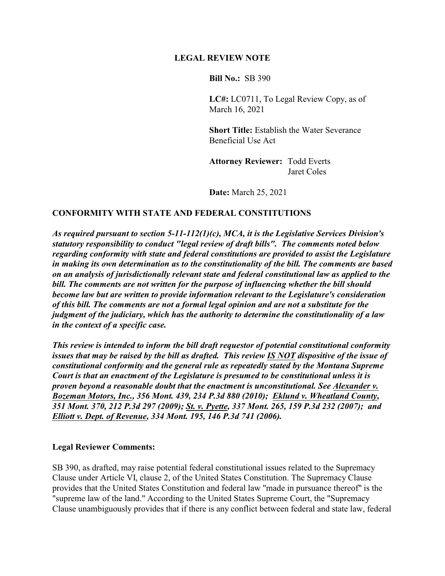## **LEGAL REVIEW NOTE**

**Bill No.:** SB 390

**LC#:** LC0711, To Legal Review Copy, as of March 16, 2021

**Short Title:** Establish the Water Severance Beneficial Use Act

**Attorney Reviewer:** Todd Everts Jaret Coles

**Date:** March 25, 2021

## **CONFORMITY WITH STATE AND FEDERAL CONSTITUTIONS**

*As required pursuant to section 5-11-112(1)(c), MCA, it is the Legislative Services Division's statutory responsibility to conduct "legal review of draft bills". The comments noted below regarding conformity with state and federal constitutions are provided to assist the Legislature in making its own determination as to the constitutionality of the bill. The comments are based on an analysis of jurisdictionally relevant state and federal constitutional law as applied to the bill. The comments are not written for the purpose of influencing whether the bill should become law but are written to provide information relevant to the Legislature's consideration of this bill. The comments are not a formal legal opinion and are not a substitute for the judgment of the judiciary, which has the authority to determine the constitutionality of a law in the context of a specific case.*

*This review is intended to inform the bill draft requestor of potential constitutional conformity issues that may be raised by the bill as drafted. This review IS NOT dispositive of the issue of constitutional conformity and the general rule as repeatedly stated by the Montana Supreme Court is that an enactment of the Legislature is presumed to be constitutional unless it is proven beyond a reasonable doubt that the enactment is unconstitutional. See Alexander v. Bozeman Motors, Inc., 356 Mont. 439, 234 P.3d 880 (2010); Eklund v. Wheatland County, 351 Mont. 370, 212 P.3d 297 (2009); St. v. Pyette, 337 Mont. 265, 159 P.3d 232 (2007); and Elliott v. Dept. of Revenue, 334 Mont. 195, 146 P.3d 741 (2006).*

## **Legal Reviewer Comments:**

SB 390, as drafted, may raise potential federal constitutional issues related to the Supremacy Clause under Article VI, clause 2, of the United States Constitution. The Supremacy Clause provides that the United States Constitution and federal law "made in pursuance thereof" is the "supreme law of the land." According to the United States Supreme Court, the "Supremacy Clause unambiguously provides that if there is any conflict between federal and state law, federal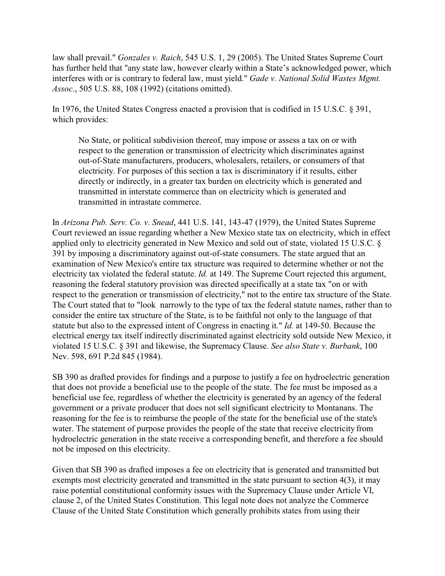law shall prevail." *Gonzales v. Raich*, 545 U.S. 1, 29 (2005). The United States Supreme Court has further held that "any state law, however clearly within a State's acknowledged power, which interferes with or is contrary to federal law, must yield." *Gade v. National Solid Wastes Mgmt. Assoc*., 505 U.S. 88, 108 (1992) (citations omitted).

In 1976, the United States Congress enacted a provision that is codified in 15 U.S.C. § 391, which provides:

No State, or political subdivision thereof, may impose or assess a tax on or with respect to the generation or transmission of electricity which discriminates against out-of-State manufacturers, producers, wholesalers, retailers, or consumers of that electricity. For purposes of this section a tax is discriminatory if it results, either directly or indirectly, in a greater tax burden on electricity which is generated and transmitted in interstate commerce than on electricity which is generated and transmitted in intrastate commerce.

In *Arizona Pub. Serv. Co. v. Snead*, 441 U.S. 141, 143-47 (1979), the United States Supreme Court reviewed an issue regarding whether a New Mexico state tax on electricity, which in effect applied only to electricity generated in New Mexico and sold out of state, violated 15 U.S.C. § 391 by imposing a discriminatory against out-of-state consumers. The state argued that an examination of New Mexico's entire tax structure was required to determine whether or not the electricity tax violated the federal statute. *Id.* at 149. The Supreme Court rejected this argument, reasoning the federal statutory provision was directed specifically at a state tax "on or with respect to the generation or transmission of electricity," not to the entire tax structure of the State. The Court stated that to "look narrowly to the type of tax the federal statute names, rather than to consider the entire tax structure of the State, is to be faithful not only to the language of that statute but also to the expressed intent of Congress in enacting it." *Id.* at 149-50. Because the electrical energy tax itself indirectly discriminated against electricity sold outside New Mexico, it violated 15 U.S.C. § 391 and likewise, the Supremacy Clause. *See also State v. Burbank*, 100 Nev. 598, 691 P.2d 845 (1984).

SB 390 as drafted provides for findings and a purpose to justify a fee on hydroelectric generation that does not provide a beneficial use to the people of the state. The fee must be imposed as a beneficial use fee, regardless of whether the electricity is generated by an agency of the federal government or a private producer that does not sell significant electricity to Montanans. The reasoning for the fee is to reimburse the people of the state for the beneficial use of the state's water. The statement of purpose provides the people of the state that receive electricity from hydroelectric generation in the state receive a corresponding benefit, and therefore a fee should not be imposed on this electricity.

Given that SB 390 as drafted imposes a fee on electricity that is generated and transmitted but exempts most electricity generated and transmitted in the state pursuant to section 4(3), it may raise potential constitutional conformity issues with the Supremacy Clause under Article VI, clause 2, of the United States Constitution. This legal note does not analyze the Commerce Clause of the United State Constitution which generally prohibits states from using their